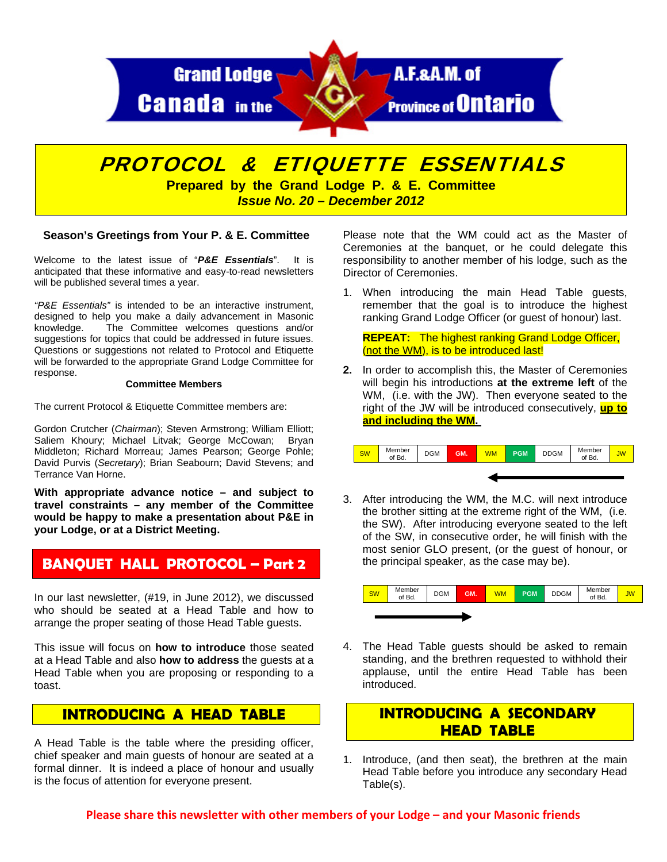

# PROTOCOL & ETIQUETTE ESSENTIALS

**Prepared by the Grand Lodge P. & E. Committee**  *Issue No. 20 – December 2012* 

#### **Season's Greetings from Your P. & E. Committee**

Welcome to the latest issue of "*P&E Essentials*". It is anticipated that these informative and easy-to-read newsletters will be published several times a year.

*"P&E Essentials"* is intended to be an interactive instrument, designed to help you make a daily advancement in Masonic knowledge. The Committee welcomes questions and/or suggestions for topics that could be addressed in future issues. Questions or suggestions not related to Protocol and Etiquette will be forwarded to the appropriate Grand Lodge Committee for response.

#### **Committee Members**

The current Protocol & Etiquette Committee members are:

Gordon Crutcher (*Chairman*); Steven Armstrong; William Elliott; Saliem Khoury; Michael Litvak; George McCowan; Bryan Middleton; Richard Morreau; James Pearson; George Pohle; David Purvis (*Secretary*); Brian Seabourn; David Stevens; and Terrance Van Horne.

**With appropriate advance notice – and subject to travel constraints – any member of the Committee would be happy to make a presentation about P&E in your Lodge, or at a District Meeting.** 

## **BANQUET HALL PROTOCOL – Part 2**

In our last newsletter, (#19, in June 2012), we discussed who should be seated at a Head Table and how to arrange the proper seating of those Head Table guests.

This issue will focus on **how to introduce** those seated at a Head Table and also **how to address** the guests at a Head Table when you are proposing or responding to a toast.

#### **INTRODUCING A HEAD TABLE**

A Head Table is the table where the presiding officer, chief speaker and main guests of honour are seated at a formal dinner. It is indeed a place of honour and usually is the focus of attention for everyone present.

Please note that the WM could act as the Master of Ceremonies at the banquet, or he could delegate this responsibility to another member of his lodge, such as the Director of Ceremonies.

1. When introducing the main Head Table guests, remember that the goal is to introduce the highest ranking Grand Lodge Officer (or guest of honour) last.

**REPEAT:** The highest ranking Grand Lodge Officer, (not the WM), is to be introduced last!

**2.** In order to accomplish this, the Master of Ceremonies will begin his introductions **at the extreme left** of the WM, (i.e. with the JW). Then everyone seated to the right of the JW will be introduced consecutively, **up to and including the WM.** 



3. After introducing the WM, the M.C. will next introduce the brother sitting at the extreme right of the WM, (i.e. the SW). After introducing everyone seated to the left of the SW, in consecutive order, he will finish with the most senior GLO present, (or the guest of honour, or the principal speaker, as the case may be).



4. The Head Table guests should be asked to remain standing, and the brethren requested to withhold their applause, until the entire Head Table has been introduced.

# **INTRODUCING A SECONDARY HEAD TABLE**

1. Introduce, (and then seat), the brethren at the main Head Table before you introduce any secondary Head Table(s).

**Please share this newsletter with other members of your Lodge – and your Masonic friends**